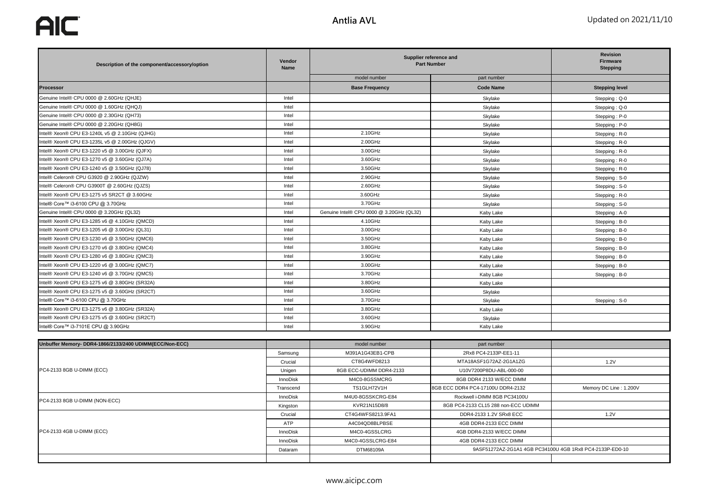**AIC** 

| Description of the component/accessory/option | Vendor<br><b>Name</b> | Supplier reference and<br><b>Part Number</b> |                  | <b>Revision</b><br>Firmware<br><b>Stepping</b> |
|-----------------------------------------------|-----------------------|----------------------------------------------|------------------|------------------------------------------------|
|                                               |                       | model number                                 | part number      |                                                |
| <b>Processor</b>                              |                       | <b>Base Frequency</b>                        | <b>Code Name</b> | <b>Stepping level</b>                          |
| Genuine Intel® CPU 0000 @ 2.60GHz (QHJE)      | Intel                 |                                              | Skylake          | Stepping: Q-0                                  |
| Genuine Intel® CPU 0000 @ 1.60GHz (QHQJ)      | Intel                 |                                              | Skylake          | Stepping: Q-0                                  |
| Genuine Intel® CPU 0000 @ 2.30GHz (QH73)      | Intel                 |                                              | Skylake          | Stepping: P-0                                  |
| Genuine Intel® CPU 0000 @ 2.20GHz (QH8G)      | Intel                 |                                              | Skylake          | Stepping: P-0                                  |
| Intel® Xeon® CPU E3-1240L v5 @ 2.10GHz (QJHG) | Intel                 | 2.10GHz                                      | Skylake          | Stepping: R-0                                  |
| Intel® Xeon® CPU E3-1235L v5 @ 2.00GHz (QJGV) | Intel                 | 2.00GHz                                      | Skylake          | Stepping: R-0                                  |
| Intel® Xeon® CPU E3-1220 v5 @ 3.00GHz (QJFX)  | Intel                 | 3.00GHz                                      | Skylake          | Stepping: R-0                                  |
| Intel® Xeon® CPU E3-1270 v5 @ 3.60GHz (QJ7A)  | Intel                 | 3.60GHz                                      | Skylake          | Stepping: R-0                                  |
| Intel® Xeon® CPU E3-1240 v5 @ 3.50GHz (QJ78)  | Intel                 | 3.50GHz                                      | Skylake          | Stepping: R-0                                  |
| Intel® Celeron® CPU G3920 @ 2.90GHz (QJZW)    | Intel                 | 2.90GHz                                      | Skylake          | Stepping: S-0                                  |
| Intel® Celeron® CPU G3900T @ 2.60GHz (QJZS)   | Intel                 | 2.60GHz                                      | Skylake          | Stepping: S-0                                  |
| Intel® Xeon® CPU E3-1275 v5 SR2CT @ 3.60GHz   | Intel                 | 3.60GHz                                      | Skylake          | Stepping: R-0                                  |
| Intel® Core™ i3-6100 CPU @ 3.70GHz            | Intel                 | 3.70GHz                                      | Skylake          | Stepping: S-0                                  |
| Genuine Intel® CPU 0000 @ 3.20GHz (QL32)      | Intel                 | Genuine Intel® CPU 0000 @ 3.20GHz (QL32)     | Kaby Lake        | Stepping: A-0                                  |
| Intel® Xeon® CPU E3-1285 v6 @ 4.10GHz (QMCD)  | Intel                 | 4.10GHz                                      | Kaby Lake        | Stepping: B-0                                  |
| Intel® Xeon® CPU E3-1205 v6 @ 3.00GHz (QL31)  | Intel                 | 3.00GHz                                      | Kaby Lake        | Stepping: B-0                                  |
| Intel® Xeon® CPU E3-1230 v6 @ 3.50GHz (QMC6)  | Intel                 | 3.50GHz                                      | Kaby Lake        | Stepping: B-0                                  |
| Intel® Xeon® CPU E3-1270 v6 @ 3.80GHz (QMC4)  | Intel                 | 3.80GHz                                      | Kaby Lake        | Stepping: B-0                                  |
| Intel® Xeon® CPU E3-1280 v6 @ 3.80GHz (QMC3)  | Intel                 | 3.90GHz                                      | Kaby Lake        | Stepping: B-0                                  |
| Intel® Xeon® CPU E3-1220 v6 @ 3.00GHz (QMC7)  | Intel                 | 3.00GHz                                      | Kaby Lake        | Stepping: B-0                                  |
| Intel® Xeon® CPU E3-1240 v6 @ 3.70GHz (QMC5)  | Intel                 | 3.70GHz                                      | Kaby Lake        | Stepping: B-0                                  |
| Intel® Xeon® CPU E3-1275 v6 @ 3.80GHz (SR32A) | Intel                 | 3.80GHz                                      | Kaby Lake        |                                                |
| Intel® Xeon® CPU E3-1275 v5 @ 3.60GHz (SR2CT) | Intel                 | 3.60GHz                                      | Skylake          |                                                |
| Intel® Core™ i3-6100 CPU @ 3.70GHz            | Intel                 | 3.70GHz                                      | Skylake          | Stepping: S-0                                  |
| Intel® Xeon® CPU E3-1275 v6 @ 3.80GHz (SR32A) | Intel                 | 3.80GHz                                      | Kaby Lake        |                                                |
| Intel® Xeon® CPU E3-1275 v5 @ 3.60GHz (SR2CT) | Intel                 | 3.60GHz                                      | Skylake          |                                                |
| Intel® Core™ i3-7101E CPU @ 3.90GHz           | Intel                 | 3.90GHz                                      | Kaby Lake        |                                                |

| Unbuffer Memory- DDR4-1866/2133/2400 UDIMM(ECC/Non-ECC) |           | model number            | part number                         |                                                          |
|---------------------------------------------------------|-----------|-------------------------|-------------------------------------|----------------------------------------------------------|
|                                                         | Samsung   | M391A1G43EB1-CPB        | 2Rx8 PC4-2133P-EE1-11               |                                                          |
|                                                         | Crucial   | CT8G4WFD8213            | MTA18ASF1G72AZ-2G1A1ZG              | 1.2V                                                     |
| PC4-2133 8GB U-DIMM (ECC)                               | Unigen    | 8GB ECC-UDIMM DDR4-2133 | U10V7200P8DU-ABL-000-00             |                                                          |
|                                                         | InnoDisk  | M4C0-8GSSMCRG           | 8GB DDR4 2133 W/ECC DIMM            |                                                          |
|                                                         | Transcend | TS1GLH72V1H             | 8GB ECC DDR4 PC4-17100U DDR4-2132   | Memory DC Line: 1.200V                                   |
| PC4-2133 8GB U-DIMM (NON-ECC)                           | InnoDisk  | M4U0-8GSSKCRG-E84       | Rockwell i-DIMM 8GB PC34100U        |                                                          |
|                                                         | Kingston  | KVR21N15D8/8            | 8GB PC4-2133 CL15 288 non-ECC UDIMM |                                                          |
| PC4-2133 4GB U-DIMM (ECC)                               | Crucial   | CT4G4WFS8213.9FA1       | DDR4-2133 1.2V SRx8 ECC             | 1.2V                                                     |
|                                                         | ATP       | A4C04QD8BLPBSE          | 4GB DDR4-2133 ECC DIMM              |                                                          |
|                                                         | InnoDisk  | M4C0-4GSSLCRG           | 4GB DDR4-2133 W/ECC DIMM            |                                                          |
|                                                         | InnoDisk  | M4C0-4GSSLCRG-E84       | 4GB DDR4-2133 ECC DIMM              |                                                          |
|                                                         | Dataram   | DTM68109A               |                                     | 9ASF51272AZ-2G1A1 4GB PC34100U 4GB 1Rx8 PC4-2133P-ED0-10 |
|                                                         |           |                         |                                     |                                                          |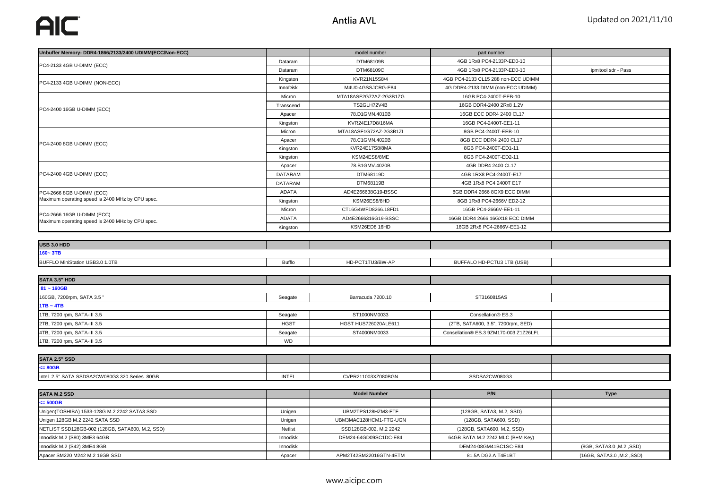| Unbuffer Memory- DDR4-1866/2133/2400 UDIMM(ECC/Non-ECC) |                | model number           | part number                            |                          |
|---------------------------------------------------------|----------------|------------------------|----------------------------------------|--------------------------|
|                                                         | Dataram        | DTM68109B              | 4GB 1Rx8 PC4-2133P-ED0-10              |                          |
| PC4-2133 4GB U-DIMM (ECC)                               | Dataram        | DTM68109C              | 4GB 1Rx8 PC4-2133P-ED0-10              | ipmitool sdr - Pass      |
| PC4-2133 4GB U-DIMM (NON-ECC)                           | Kingston       | KVR21N15S8/4           | 4GB PC4-2133 CL15 288 non-ECC UDIMM    |                          |
|                                                         | InnoDisk       | M4U0-4GSSJCRG-E84      | 4G DDR4-2133 DIMM (non-ECC UDIMM)      |                          |
|                                                         | Micron         | MTA18ASF2G72AZ-2G3B1ZG | 16GB PC4-2400T-EEB-10                  |                          |
|                                                         | Transcend      | TS2GLH72V4B            | 16GB DDR4-2400 2Rx8 1.2V               |                          |
| PC4-2400 16GB U-DIMM (ECC)                              | Apacer         | 78.D1GMN.4010B         | 16GB ECC DDR4 2400 CL17                |                          |
|                                                         | Kingston       | KVR24E17D8/16MA        | 16GB PC4-2400T-EE1-11                  |                          |
|                                                         | Micron         | MTA18ASF1G72AZ-2G3B1ZI | 8GB PC4-2400T-EEB-10                   |                          |
|                                                         | Apacer         | 78.C1GMN.4020B         | 8GB ECC DDR4 2400 CL17                 |                          |
| PC4-2400 8GB U-DIMM (ECC)                               | Kingston       | KVR24E17S8/8MA         | 8GB PC4-2400T-ED1-11                   |                          |
|                                                         | Kingston       | KSM24ES8/8ME           | 8GB PC4-2400T-ED2-11                   |                          |
|                                                         | Apacer         | 78.B1GMV.4020B         | 4GB DDR4 2400 CL17                     |                          |
| PC4-2400 4GB U-DIMM (ECC)                               | <b>DATARAM</b> | DTM68119D              | 4GB 1RX8 PC4-2400T-E17                 |                          |
|                                                         | <b>DATARAM</b> | DTM68119B              | 4GB 1Rx8 PC4 2400T E17                 |                          |
| PC4-2666 8GB U-DIMM (ECC)                               | <b>ADATA</b>   | AD4E266638G19-BSSC     | 8GB DDR4 2666 8GX9 ECC DIMM            |                          |
| Maximum operating speed is 2400 MHz by CPU spec.        | Kingston       | KSM26ES8/8HD           | 8GB 1Rx8 PC4-2666V ED2-12              |                          |
|                                                         | Micron         | CT16G4WFD8266.18FD1    | 16GB PC4-2666V-EE1-11                  |                          |
| PC4-2666 16GB U-DIMM (ECC)                              | ADATA          | AD4E2666316G19-BSSC    | 16GB DDR4 2666 16GX18 ECC DIMM         |                          |
| Maximum operating speed is 2400 MHz by CPU spec.        | Kingston       | KSM26ED8 16HD          | 16GB 2Rx8 PC4-2666V-EE1-12             |                          |
|                                                         |                |                        |                                        |                          |
| USB 3.0 HDD                                             |                |                        |                                        |                          |
| 160~3TB                                                 |                |                        |                                        |                          |
| BUFFLO MiniStation USB3.0 1.0TB                         | Bufflo         | HD-PCT1TU3/BW-AP       | BUFFALO HD-PCTU3 1TB (USB)             |                          |
|                                                         |                |                        |                                        |                          |
| SATA 3.5" HDD                                           |                |                        |                                        |                          |
| $81 - 160GB$                                            |                |                        |                                        |                          |
| 160GB, 7200rpm, SATA 3.5"                               | Seagate        | Barracuda 7200.10      | ST3160815AS                            |                          |
| $1TB - 4TB$                                             |                |                        |                                        |                          |
| 1TB, 7200 rpm, SATA-III 3.5                             | Seagate        | ST1000NM0033           | Consellation® ES.3                     |                          |
| 2TB, 7200 rpm, SATA-III 3.5                             | <b>HGST</b>    | HGST HUS726020ALE611   | (2TB, SATA600, 3.5", 7200rpm, SED)     |                          |
| 4TB, 7200 rpm, SATA-III 3.5                             | Seagate        | ST4000NM0033           | Consellation® ES.3 9ZM170-003 Z1Z26LFL |                          |
| 1TB, 7200 rpm, SATA-III 3.5                             | WD             |                        |                                        |                          |
|                                                         |                |                        |                                        |                          |
| <b>SATA 2.5" SSD</b>                                    |                |                        |                                        |                          |
| $= 80GB$                                                |                |                        |                                        |                          |
| Intel 2.5" SATA SSDSA2CW080G3 320 Series 80GB           | INTEL          | CVPR211003XZ080BGN     | SSDSA2CW080G3                          |                          |
|                                                         |                |                        |                                        |                          |
| <b>SATA M.2 SSD</b>                                     |                | <b>Model Number</b>    | P/N                                    | <b>Type</b>              |
| $= 500GB$                                               |                |                        |                                        |                          |
| Unigen(TOSHIBA) 1533-128G M.2 2242 SATA3 SSD            | Unigen         | UBM2TPS128HZM3-FTF     | (128GB, SATA3, M.2, SSD)               |                          |
| Unigen 128GB M.2 2242 SATA SSD                          | Unigen         | UBM3MAC128HCM1-FTG-UGN | (128GB, SATA600, SSD)                  |                          |
| NETLIST SSD128GB-002 (128GB, SATA600, M.2, SSD)         | Netlist        | SSD128GB-002, M.2 2242 | (128GB, SATA600, M.2, SSD)             |                          |
| Innodisk M.2 (S80) 3ME3 64GB                            | Innodisk       | DEM24-64GD09SC1DC-E84  | 64GB SATA M.2 2242 MLC (B+M Key)       |                          |
| Innodisk M.2 (S42) 3ME4 8GB                             | Innodisk       |                        | DEM24-08GM41BC1SC-E84                  | (8GB, SATA3.0, M.2, SSD) |

Apacer SM220 M242 M.2 16GB SSD **Apacer** Apacer APM2T42SM22016GTN-4ETM 81.5A DG2.A T4E1BT (16GB, SATA3.0 ,M.2 ,SSD)